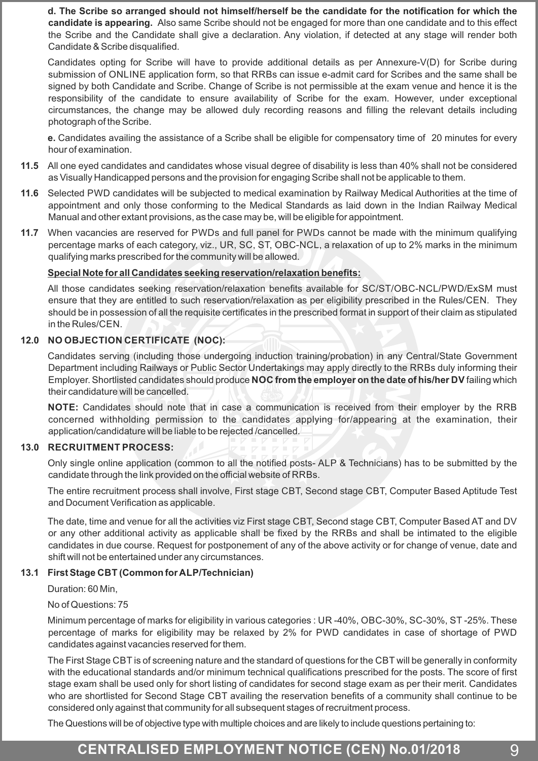**d. The Scribe so arranged should not himself/herself be the candidate for the notification for which the candidate is appearing.** Also same Scribe should not be engaged for more than one candidate and to this effect the Scribe and the Candidate shall give a declaration. Any violation, if detected at any stage will render both Candidate & Scribe disqualified.

Candidates opting for Scribe will have to provide additional details as per Annexure-V(D) for Scribe during submission of ONLINE application form, so that RRBs can issue e-admit card for Scribes and the same shall be signed by both Candidate and Scribe. Change of Scribe is not permissible at the exam venue and hence it is the responsibility of the candidate to ensure availability of Scribe for the exam. However, under exceptional circumstances, the change may be allowed duly recording reasons and filling the relevant details including photograph of the Scribe.

**e.** Candidates availing the assistance of a Scribe shall be eligible for compensatory time of 20 minutes for every hour of examination.

- **11.5** All one eyed candidates and candidates whose visual degree of disability is less than 40% shall not be considered as Visually Handicapped persons and the provision for engaging Scribe shall not be applicable to them.
- **11.6** Selected PWD candidates will be subjected to medical examination by Railway Medical Authorities at the time of appointment and only those conforming to the Medical Standards as laid down in the Indian Railway Medical Manual and other extant provisions, as the case may be, will be eligible for appointment.
- **11.7** When vacancies are reserved for PWDs and full panel for PWDs cannot be made with the minimum qualifying percentage marks of each category, viz., UR, SC, ST, OBC-NCL, a relaxation of up to 2% marks in the minimum qualifying marks prescribed for the community will be allowed.

### **Special Note for all Candidates seeking reservation/relaxation benefits:**

All those candidates seeking reservation/relaxation benefits available for SC/ST/OBC-NCL/PWD/ExSM must ensure that they are entitled to such reservation/relaxation as per eligibility prescribed in the Rules/CEN. They should be in possession of all the requisite certificates in the prescribed format in support of their claim as stipulated in the Rules/CEN.

### **12.0 NO OBJECTION CERTIFICATE (NOC):**

Candidates serving (including those undergoing induction training/probation) in any Central/State Government Department including Railways or Public Sector Undertakings may apply directly to the RRBs duly informing their Employer. Shortlisted candidates should produce **NOC from the employer on the date of his/her DV** failing which their candidature will be cancelled.

**NOTE:** Candidates should note that in case a communication is received from their employer by the RRB concerned withholding permission to the candidates applying for/appearing at the examination, their application/candidature will be liable to be rejected /cancelled.

#### **13.0 RECRUITMENT PROCESS:**

Only single online application (common to all the notified posts- ALP & Technicians) has to be submitted by the candidate through the link provided on the official website of RRBs.

The entire recruitment process shall involve, First stage CBT, Second stage CBT, Computer Based Aptitude Test and Document Verification as applicable.

The date, time and venue for all the activities viz First stage CBT, Second stage CBT, Computer Based AT and DV or any other additional activity as applicable shall be fixed by the RRBs and shall be intimated to the eligible candidates in due course. Request for postponement of any of the above activity or for change of venue, date and shift will not be entertained under any circumstances.

### **13.1 First Stage CBT (Common for ALP/Technician)**

Duration: 60 Min,

No of Questions: 75

Minimum percentage of marks for eligibility in various categories : UR -40%, OBC-30%, SC-30%, ST -25%. These percentage of marks for eligibility may be relaxed by 2% for PWD candidates in case of shortage of PWD candidates against vacancies reserved for them.

The First Stage CBT is of screening nature and the standard of questions for the CBT will be generally in conformity with the educational standards and/or minimum technical qualifications prescribed for the posts. The score of first stage exam shall be used only for short listing of candidates for second stage exam as per their merit. Candidates who are shortlisted for Second Stage CBT availing the reservation benefits of a community shall continue to be considered only against that community for all subsequent stages of recruitment process.

The Questions will be of objective type with multiple choices and are likely to include questions pertaining to:

# **CENTRALISED EMPLOYMENT NOTICE (CEN) No.01/2018** 9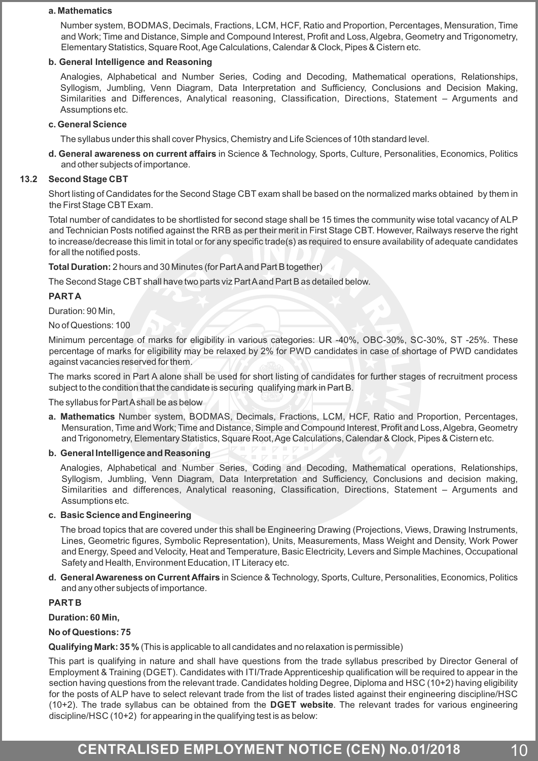#### **a. Mathematics**

Number system, BODMAS, Decimals, Fractions, LCM, HCF, Ratio and Proportion, Percentages, Mensuration, Time and Work; Time and Distance, Simple and Compound Interest, Profit and Loss, Algebra, Geometry and Trigonometry, Elementary Statistics, Square Root, Age Calculations, Calendar & Clock, Pipes & Cistern etc.

#### **b. General Intelligence and Reasoning**

Analogies, Alphabetical and Number Series, Coding and Decoding, Mathematical operations, Relationships, Syllogism, Jumbling, Venn Diagram, Data Interpretation and Sufficiency, Conclusions and Decision Making, Similarities and Differences, Analytical reasoning, Classification, Directions, Statement – Arguments and Assumptions etc.

#### **c. General Science**

The syllabus under this shall cover Physics, Chemistry and Life Sciences of 10th standard level.

**d. General awareness on current affairs** in Science & Technology, Sports, Culture, Personalities, Economics, Politics and other subjects of importance.

#### **13.2 Second Stage CBT**

Short listing of Candidates for the Second Stage CBT exam shall be based on the normalized marks obtained by them in the First Stage CBT Exam.

Total number of candidates to be shortlisted for second stage shall be 15 times the community wise total vacancy of ALP and Technician Posts notified against the RRB as per their merit in First Stage CBT. However, Railways reserve the right to increase/decrease this limit in total or for any specific trade(s) as required to ensure availability of adequate candidates for all the notified posts.

#### **Total Duration:**2 hours and 30 Minutes (for Part Aand Part B together)

The Second Stage CBT shall have two parts viz Part Aand Part B as detailed below.

#### **PART A**

Duration: 90 Min,

No of Questions: 100

Minimum percentage of marks for eligibility in various categories: UR -40%, OBC-30%, SC-30%, ST -25%. These percentage of marks for eligibility may be relaxed by 2% for PWD candidates in case of shortage of PWD candidates against vacancies reserved for them.

The marks scored in Part A alone shall be used for short listing of candidates for further stages of recruitment process subject to the condition that the candidate is securing qualifying mark in Part B.

The syllabus for Part Ashall be as below

**a. Mathematics** Number system, BODMAS, Decimals, Fractions, LCM, HCF, Ratio and Proportion, Percentages, Mensuration, Time and Work; Time and Distance, Simple and Compound Interest, Profit and Loss, Algebra, Geometry and Trigonometry, Elementary Statistics, Square Root, Age Calculations, Calendar & Clock, Pipes & Cistern etc.

#### **b. General Intelligence and Reasoning**

Analogies, Alphabetical and Number Series, Coding and Decoding, Mathematical operations, Relationships, Syllogism, Jumbling, Venn Diagram, Data Interpretation and Sufficiency, Conclusions and decision making, Similarities and differences, Analytical reasoning, Classification, Directions, Statement – Arguments and Assumptions etc.

#### **c. Basic Science and Engineering**

The broad topics that are covered under this shall be Engineering Drawing (Projections, Views, Drawing Instruments, Lines, Geometric figures, Symbolic Representation), Units, Measurements, Mass Weight and Density, Work Power and Energy, Speed and Velocity, Heat and Temperature, Basic Electricity, Levers and Simple Machines, Occupational Safety and Health, Environment Education, IT Literacy etc.

**d. General Awareness on Current Affairs**in Science & Technology, Sports, Culture, Personalities, Economics, Politics and any other subjects of importance.

#### **PART B**

**Duration: 60 Min,** 

#### **No of Questions: 75**

**Qualifying Mark: 35 %** (This is applicable to all candidates and no relaxation is permissible)

This part is qualifying in nature and shall have questions from the trade syllabus prescribed by Director General of Employment & Training (DGET). Candidates with ITI/Trade Apprenticeship qualification will be required to appear in the section having questions from the relevant trade. Candidates holding Degree, Diploma and HSC (10+2) having eligibility for the posts of ALP have to select relevant trade from the list of trades listed against their engineering discipline/HSC (10+2). The trade syllabus can be obtained from the **DGET website**. The relevant trades for various engineering discipline/HSC (10+2) for appearing in the qualifying test is as below:

## **CENTRALISED EMPLOYMENT NOTICE (CEN) No.01/2018** 10